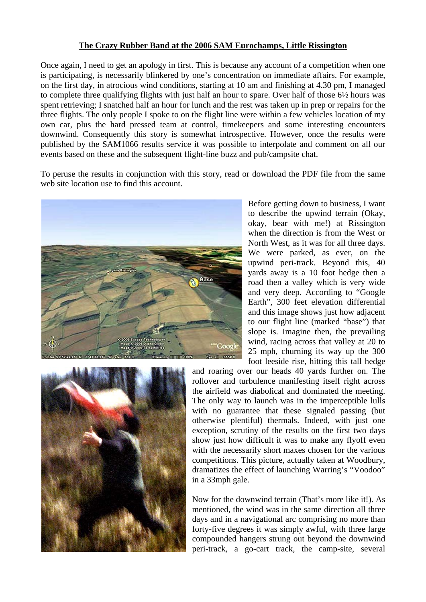## **The Crazy Rubber Band at the 2006 SAM Eurochamps, Little Rissington**

Once again, I need to get an apology in first. This is because any account of a competition when one is participating, is necessarily blinkered by one's concentration on immediate affairs. For example, on the first day, in atrocious wind conditions, starting at 10 am and finishing at 4.30 pm, I managed to complete three qualifying flights with just half an hour to spare. Over half of those 6½ hours was spent retrieving; I snatched half an hour for lunch and the rest was taken up in prep or repairs for the three flights. The only people I spoke to on the flight line were within a few vehicles location of my own car, plus the hard pressed team at control, timekeepers and some interesting encounters downwind. Consequently this story is somewhat introspective. However, once the results were published by the SAM1066 results service it was possible to interpolate and comment on all our events based on these and the subsequent flight-line buzz and pub/campsite chat.

To peruse the results in conjunction with this story, read or download the PDF file from the same web site location use to find this account.



Before getting down to business, I want to describe the upwind terrain (Okay, okay, bear with me!) at Rissington when the direction is from the West or North West, as it was for all three days. We were parked, as ever, on the upwind peri-track. Beyond this, 40 yards away is a 10 foot hedge then a road then a valley which is very wide and very deep. According to "Google Earth", 300 feet elevation differential and this image shows just how adjacent to our flight line (marked "base") that slope is. Imagine then, the prevailing wind, racing across that valley at 20 to 25 mph, churning its way up the 300 foot leeside rise, hitting this tall hedge



and roaring over our heads 40 yards further on. The rollover and turbulence manifesting itself right across the airfield was diabolical and dominated the meeting. The only way to launch was in the imperceptible lulls with no guarantee that these signaled passing (but otherwise plentiful) thermals. Indeed, with just one exception, scrutiny of the results on the first two days show just how difficult it was to make any flyoff even with the necessarily short maxes chosen for the various competitions. This picture, actually taken at Woodbury, dramatizes the effect of launching Warring's "Voodoo" in a 33mph gale.

Now for the downwind terrain (That's more like it!). As mentioned, the wind was in the same direction all three days and in a navigational arc comprising no more than forty-five degrees it was simply awful, with three large compounded hangers strung out beyond the downwind peri-track, a go-cart track, the camp-site, several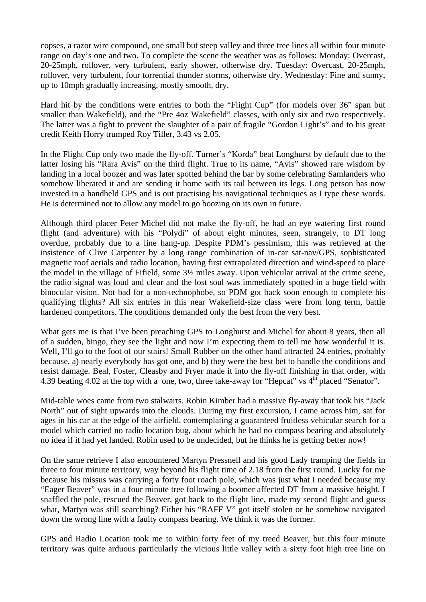copses, a razor wire compound, one small but steep valley and three tree lines all within four minute range on day's one and two. To complete the scene the weather was as follows: Monday: Overcast, 20-25mph, rollover, very turbulent, early shower, otherwise dry. Tuesday: Overcast, 20-25mph, rollover, very turbulent, four torrential thunder storms, otherwise dry. Wednesday: Fine and sunny, up to 10mph gradually increasing, mostly smooth, dry.

Hard hit by the conditions were entries to both the "Flight Cup" (for models over 36" span but smaller than Wakefield), and the "Pre 4oz Wakefield" classes, with only six and two respectively. The latter was a fight to prevent the slaughter of a pair of fragile "Gordon Light's" and to his great credit Keith Horry trumped Roy Tiller, 3.43 vs 2.05.

In the Flight Cup only two made the fly-off. Turner's "Korda" beat Longhurst by default due to the latter losing his "Rara Avis" on the third flight. True to its name, "Avis" showed rare wisdom by landing in a local boozer and was later spotted behind the bar by some celebrating Samlanders who somehow liberated it and are sending it home with its tail between its legs. Long person has now invested in a handheld GPS and is out practising his navigational techniques as I type these words. He is determined not to allow any model to go boozing on its own in future.

Although third placer Peter Michel did not make the fly-off, he had an eye watering first round flight (and adventure) with his "Polydi" of about eight minutes, seen, strangely, to DT long overdue, probably due to a line hang-up. Despite PDM's pessimism, this was retrieved at the insistence of Clive Carpenter by a long range combination of in-car sat-nav/GPS, sophisticated magnetic roof aerials and radio location, having first extrapolated direction and wind-speed to place the model in the village of Fifield, some 3½ miles away. Upon vehicular arrival at the crime scene, the radio signal was loud and clear and the lost soul was immediately spotted in a huge field with binocular vision. Not bad for a non-technophobe, so PDM got back soon enough to complete his qualifying flights? All six entries in this near Wakefield-size class were from long term, battle hardened competitors. The conditions demanded only the best from the very best.

What gets me is that I've been preaching GPS to Longhurst and Michel for about 8 years, then all of a sudden, bingo, they see the light and now I'm expecting them to tell me how wonderful it is. Well, I'll go to the foot of our stairs! Small Rubber on the other hand attracted 24 entries, probably because, a) nearly everybody has got one, and b) they were the best bet to handle the conditions and resist damage. Beal, Foster, Cleasby and Fryer made it into the fly-off finishing in that order, with 4.39 beating 4.02 at the top with a one, two, three take-away for "Hepcat" vs  $4<sup>th</sup>$  placed "Senator".

Mid-table woes came from two stalwarts. Robin Kimber had a massive fly-away that took his "Jack North" out of sight upwards into the clouds. During my first excursion, I came across him, sat for ages in his car at the edge of the airfield, contemplating a guaranteed fruitless vehicular search for a model which carried no radio location bug, about which he had no compass bearing and absolutely no idea if it had yet landed. Robin used to be undecided, but he thinks he is getting better now!

On the same retrieve I also encountered Martyn Pressnell and his good Lady tramping the fields in three to four minute territory, way beyond his flight time of 2.18 from the first round. Lucky for me because his missus was carrying a forty foot roach pole, which was just what I needed because my "Eager Beaver" was in a four minute tree following a boomer affected DT from a massive height. I snaffled the pole, rescued the Beaver, got back to the flight line, made my second flight and guess what, Martyn was still searching? Either his "RAFF V" got itself stolen or he somehow navigated down the wrong line with a faulty compass bearing. We think it was the former.

GPS and Radio Location took me to within forty feet of my treed Beaver, but this four minute territory was quite arduous particularly the vicious little valley with a sixty foot high tree line on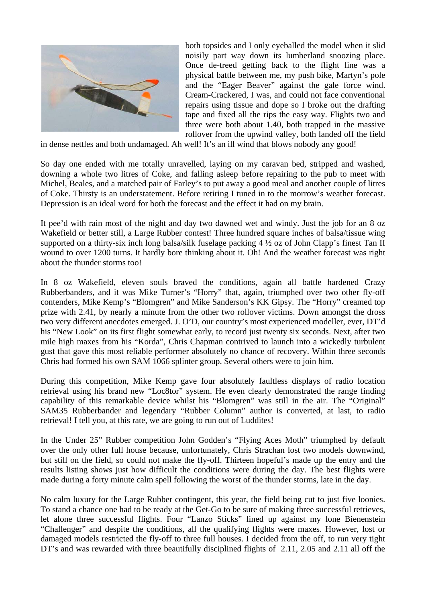

both topsides and I only eyeballed the model when it slid noisily part way down its lumberland snoozing place. Once de-treed getting back to the flight line was a physical battle between me, my push bike, Martyn's pole and the "Eager Beaver" against the gale force wind. Cream-Crackered, I was, and could not face conventional repairs using tissue and dope so I broke out the drafting tape and fixed all the rips the easy way. Flights two and three were both about 1.40, both trapped in the massive rollover from the upwind valley, both landed off the field

in dense nettles and both undamaged. Ah well! It's an ill wind that blows nobody any good!

So day one ended with me totally unravelled, laying on my caravan bed, stripped and washed, downing a whole two litres of Coke, and falling asleep before repairing to the pub to meet with Michel, Beales, and a matched pair of Farley's to put away a good meal and another couple of litres of Coke. Thirsty is an understatement. Before retiring I tuned in to the morrow's weather forecast. Depression is an ideal word for both the forecast and the effect it had on my brain.

It pee'd with rain most of the night and day two dawned wet and windy. Just the job for an 8 oz Wakefield or better still, a Large Rubber contest! Three hundred square inches of balsa/tissue wing supported on a thirty-six inch long balsa/silk fuselage packing 4 ½ oz of John Clapp's finest Tan II wound to over 1200 turns. It hardly bore thinking about it. Oh! And the weather forecast was right about the thunder storms too!

In 8 oz Wakefield, eleven souls braved the conditions, again all battle hardened Crazy Rubberbanders, and it was Mike Turner's "Horry" that, again, triumphed over two other fly-off contenders, Mike Kemp's "Blomgren" and Mike Sanderson's KK Gipsy. The "Horry" creamed top prize with 2.41, by nearly a minute from the other two rollover victims. Down amongst the dross two very different anecdotes emerged. J. O'D, our country's most experienced modeller, ever, DT'd his "New Look" on its first flight somewhat early, to record just twenty six seconds. Next, after two mile high maxes from his "Korda", Chris Chapman contrived to launch into a wickedly turbulent gust that gave this most reliable performer absolutely no chance of recovery. Within three seconds Chris had formed his own SAM 1066 splinter group. Several others were to join him.

During this competition, Mike Kemp gave four absolutely faultless displays of radio location retrieval using his brand new "Loc8tor" system. He even clearly demonstrated the range finding capability of this remarkable device whilst his "Blomgren" was still in the air. The "Original" SAM35 Rubberbander and legendary "Rubber Column" author is converted, at last, to radio retrieval! I tell you, at this rate, we are going to run out of Luddites!

In the Under 25" Rubber competition John Godden's "Flying Aces Moth" triumphed by default over the only other full house because, unfortunately, Chris Strachan lost two models downwind, but still on the field, so could not make the fly-off. Thirteen hopeful's made up the entry and the results listing shows just how difficult the conditions were during the day. The best flights were made during a forty minute calm spell following the worst of the thunder storms, late in the day.

No calm luxury for the Large Rubber contingent, this year, the field being cut to just five loonies. To stand a chance one had to be ready at the Get-Go to be sure of making three successful retrieves, let alone three successful flights. Four "Lanzo Sticks" lined up against my lone Bienenstein "Challenger" and despite the conditions, all the qualifying flights were maxes. However, lost or damaged models restricted the fly-off to three full houses. I decided from the off, to run very tight DT's and was rewarded with three beautifully disciplined flights of 2.11, 2.05 and 2.11 all off the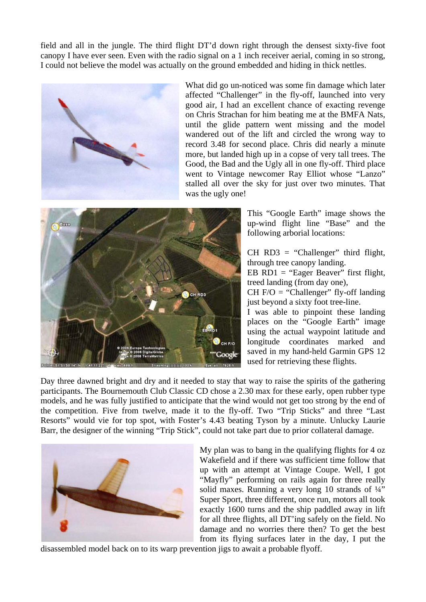field and all in the jungle. The third flight DT'd down right through the densest sixty-five foot canopy I have ever seen. Even with the radio signal on a 1 inch receiver aerial, coming in so strong, I could not believe the model was actually on the ground embedded and hiding in thick nettles.



What did go un-noticed was some fin damage which later affected "Challenger" in the fly-off, launched into very good air, I had an excellent chance of exacting revenge on Chris Strachan for him beating me at the BMFA Nats, until the glide pattern went missing and the model wandered out of the lift and circled the wrong way to record 3.48 for second place. Chris did nearly a minute more, but landed high up in a copse of very tall trees. The Good, the Bad and the Ugly all in one fly-off. Third place went to Vintage newcomer Ray Elliot whose "Lanzo" stalled all over the sky for just over two minutes. That was the ugly one!



This "Google Earth" image shows the up-wind flight line "Base" and the following arborial locations:

 $CH RD3 = "Challenger" third flight,$ through tree canopy landing.

EB  $RDI = "Eager Beaver"$  first flight, treed landing (from day one),

CH  $F/O =$  "Challenger" fly-off landing just beyond a sixty foot tree-line.

I was able to pinpoint these landing places on the "Google Earth" image using the actual waypoint latitude and longitude coordinates marked and saved in my hand-held Garmin GPS 12 used for retrieving these flights.

Day three dawned bright and dry and it needed to stay that way to raise the spirits of the gathering participants. The Bournemouth Club Classic CD chose a 2.30 max for these early, open rubber type models, and he was fully justified to anticipate that the wind would not get too strong by the end of the competition. Five from twelve, made it to the fly-off. Two "Trip Sticks" and three "Last Resorts" would vie for top spot, with Foster's 4.43 beating Tyson by a minute. Unlucky Laurie Barr, the designer of the winning "Trip Stick", could not take part due to prior collateral damage.



My plan was to bang in the qualifying flights for 4 oz Wakefield and if there was sufficient time follow that up with an attempt at Vintage Coupe. Well, I got "Mayfly" performing on rails again for three really solid maxes. Running a very long 10 strands of  $\frac{1}{4}$ Super Sport, three different, once run, motors all took exactly 1600 turns and the ship paddled away in lift for all three flights, all DT'ing safely on the field. No damage and no worries there then? To get the best from its flying surfaces later in the day, I put the

disassembled model back on to its warp prevention jigs to await a probable flyoff.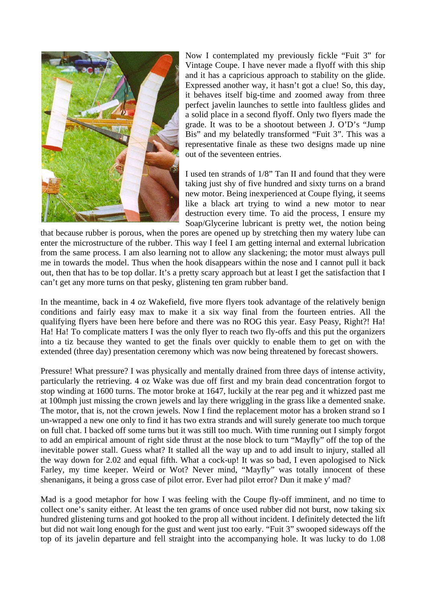

Now I contemplated my previously fickle "Fuit 3" for Vintage Coupe. I have never made a flyoff with this ship and it has a capricious approach to stability on the glide. Expressed another way, it hasn't got a clue! So, this day, it behaves itself big-time and zoomed away from three perfect javelin launches to settle into faultless glides and a solid place in a second flyoff. Only two flyers made the grade. It was to be a shootout between J. O'D's "Jump Bis" and my belatedly transformed "Fuit 3". This was a representative finale as these two designs made up nine out of the seventeen entries.

I used ten strands of 1/8" Tan II and found that they were taking just shy of five hundred and sixty turns on a brand new motor. Being inexperienced at Coupe flying, it seems like a black art trying to wind a new motor to near destruction every time. To aid the process, I ensure my Soap/Glycerine lubricant is pretty wet, the notion being

that because rubber is porous, when the pores are opened up by stretching then my watery lube can enter the microstructure of the rubber. This way I feel I am getting internal and external lubrication from the same process. I am also learning not to allow any slackening; the motor must always pull me in towards the model. Thus when the hook disappears within the nose and I cannot pull it back out, then that has to be top dollar. It's a pretty scary approach but at least I get the satisfaction that I can't get any more turns on that pesky, glistening ten gram rubber band.

In the meantime, back in 4 oz Wakefield, five more flyers took advantage of the relatively benign conditions and fairly easy max to make it a six way final from the fourteen entries. All the qualifying flyers have been here before and there was no ROG this year. Easy Peasy, Right?! Ha! Ha! Ha! To complicate matters I was the only flyer to reach two fly-offs and this put the organizers into a tiz because they wanted to get the finals over quickly to enable them to get on with the extended (three day) presentation ceremony which was now being threatened by forecast showers.

Pressure! What pressure? I was physically and mentally drained from three days of intense activity, particularly the retrieving. 4 oz Wake was due off first and my brain dead concentration forgot to stop winding at 1600 turns. The motor broke at 1647, luckily at the rear peg and it whizzed past me at 100mph just missing the crown jewels and lay there wriggling in the grass like a demented snake. The motor, that is, not the crown jewels. Now I find the replacement motor has a broken strand so I un-wrapped a new one only to find it has two extra strands and will surely generate too much torque on full chat. I backed off some turns but it was still too much. With time running out I simply forgot to add an empirical amount of right side thrust at the nose block to turn "Mayfly" off the top of the inevitable power stall. Guess what? It stalled all the way up and to add insult to injury, stalled all the way down for 2.02 and equal fifth. What a cock-up! It was so bad, I even apologised to Nick Farley, my time keeper. Weird or Wot? Never mind, "Mayfly" was totally innocent of these shenanigans, it being a gross case of pilot error. Ever had pilot error? Dun it make y' mad?

Mad is a good metaphor for how I was feeling with the Coupe fly-off imminent, and no time to collect one's sanity either. At least the ten grams of once used rubber did not burst, now taking six hundred glistening turns and got hooked to the prop all without incident. I definitely detected the lift but did not wait long enough for the gust and went just too early. "Fuit 3" swooped sideways off the top of its javelin departure and fell straight into the accompanying hole. It was lucky to do 1.08